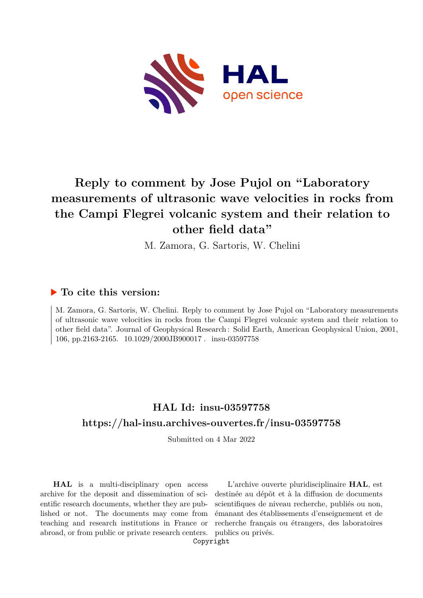

# **Reply to comment by Jose Pujol on "Laboratory measurements of ultrasonic wave velocities in rocks from the Campi Flegrei volcanic system and their relation to other field data"**

M. Zamora, G. Sartoris, W. Chelini

### **To cite this version:**

M. Zamora, G. Sartoris, W. Chelini. Reply to comment by Jose Pujol on "Laboratory measurements of ultrasonic wave velocities in rocks from the Campi Flegrei volcanic system and their relation to other field data". Journal of Geophysical Research : Solid Earth, American Geophysical Union, 2001, 106. pp.2163-2165.  $10.1029/2000J\text{B}900017$ . insu-03597758

### **HAL Id: insu-03597758 <https://hal-insu.archives-ouvertes.fr/insu-03597758>**

Submitted on 4 Mar 2022

**HAL** is a multi-disciplinary open access archive for the deposit and dissemination of scientific research documents, whether they are published or not. The documents may come from teaching and research institutions in France or abroad, or from public or private research centers.

L'archive ouverte pluridisciplinaire **HAL**, est destinée au dépôt et à la diffusion de documents scientifiques de niveau recherche, publiés ou non, émanant des établissements d'enseignement et de recherche français ou étrangers, des laboratoires publics ou privés.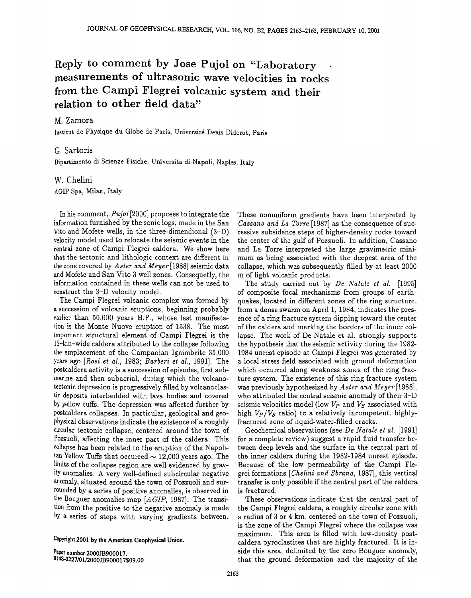### **Reply to comment by Jose Pujol on 'Laboratory measurements of ultrasonic wave velocities in rocks from the Campi Flegrei volcanic system and their relation to other field data"**

#### **M. Zamora**

Institut de Physique du Globe de Paris, Université Denis Diderot, Paris

#### **G. Sartoris**

**Dipartimento di Scienze Fisiche, Universita di Napoli, Naples, Italy** 

## **W. Chelini**

**AGIP Spa, Milan, Italy** 

In his comment, *Pujol* [2000] proposes to integrate the **information furnished by the sonic logs, made in the San**  Vito and Mofete wells, in the three-dimendional (3-D) **velocity model used to relocate the seismic events in the central zone of Campi Flegrei caldera. We show here that the tectonic and lithologic context are different in the zone covered by Aster and Meyer [1988] seismic data and Mofete and San Vito 3 well zones. Consequetly, the information contained in these wells can not be used to construct the 3-D velocity model.** 

**The Campi Flegrei volcanic complex was formed by**  a succession of volcanic eruptions, beginning probably **earlier than 50,000 years B.P., whose last manifestation is the Monte Nuovo eruption of 1538. The most important structural element of Campi Flegrei is the 12-kin-wide caldera attributed to the collapse following**  the emplacement of the Campanian Ignimbrite 35,000 **years ago [Rosiet al., 1983; Barberi et al., 1991]. The p0stcaldera activity is a succession of episodes, first submarine and then subaerial, during which the volcanotectonic depression is progressively filled by volcanoclastic deposits interbedded with lava bodies and covered by yellow tuffs. The depression was affected further by postcaldera collapses. In particular, geological and geophysical observations indicate the existence of a roughly circular tectonic collapse, centered around the town of P0zzuoli, affecting the inner part of the caldera. This collapse has been related to the eruption of the Napoli-** $\tan$  Yellow Tuffs that occurred  $\sim$  12,000 years ago. The limits of the collapse region are well evidenced by grav**ity anomalies. A very well-defined subcircular negative anomaly, situated around the town of Pozzuoli and surrounded by a series of positive anomalies, is observed in the Bouguer anomalies map [AGIP, 1987]. The transition from the positive to the negative anomaly is made by a series of steps with varying gradients between.** 

**Copyright 2001 by the American Geophysical Union.** 

**Paper number 2000JB900017. 01484227/01/2000JB 900017509.00**  **These nonuniform gradients have been interpreted by**  Cassano and La Torre [1987] as the consequence of suc**cessive subsidence steps of higher-density rocks toward the center of the gulf of Pozzuoli. In addition, Cassano and La Torre interpreted the large gravimetric minimum as being associated with the deepest area of the collapse, which was subsequently filled by at least, 2000 m of light volcanic products.** 

The study carried out by De Natale et al. [1995] **of composite focal mechanisms from groups of earthquakes, located in different zones of the ring structure, from a dense swarm on April 1, 1984, indicates the presence of a ring fracture system dipping toward the center of the caldera and marking the borders of the inner col**lapse. The work of De Natale et al. strongly supports the hypothesis that the seismic activity during the 1982-**1984 unrest, episode at Campi Flegrei was generated by a local stress field associated with ground deformation which occurred along weakness zones of the ring fracture system. The existence of this ring fracture system was previously hypothesized by Aster and Meyer [1988], who attributed the central seismic anomaly of their 3-D**  seismic velocities model (low  $V_P$  and  $V_S$  associated with high  $V_P/V_S$  ratio) to a relatively incompetent, highlyfractured zone of liquid-water-filled cracks.

Geochemical observations (see *De Natale et al.* [1991] **for a complete review) suggest a rapid fluid transfer between deep levels and the surface in the central part of the inner caldera during the 1982-1984 unrest episode. Because of the low permeability of the Campi Flegrei formations [CheIini and Sbrana, 1987], this vertical transfer is only possible if the central part of the caldera is fractured.** 

**These observations indicate that the central part of the Campi Flegrei caldera, a roughly circular zone with a radius of 3 or 4 km, centered on the town of Pozzuoli, is the zone of the Campi Flegrei where the collapse was**  maximum. This area is filled with low-density postcaldera pyroclastites that are highly fractured. It is in**side this area, delimited by the zero Bouguer anomaly,**  that the ground deformation and the majority of the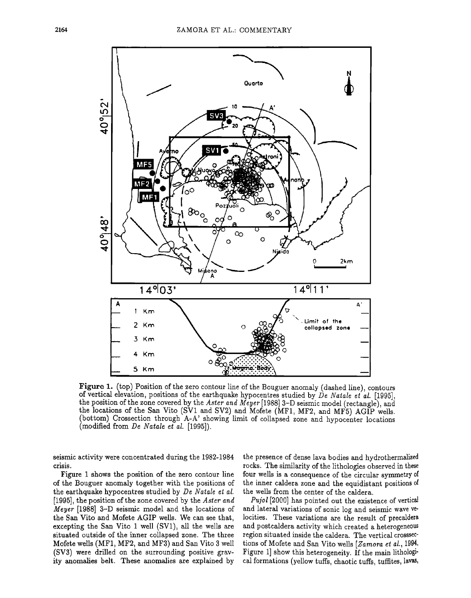

**Figure 1. (top) Position of the zero contour line of the Bouguer anomaly (dashed line), contours**  of vertical elevation, positions of the earthquake hypocentres studied by *De Natale et al.* [1995], **the position of the zone covered by the Aster and Meyer [1988] 3-D seismic model (rectangle), and**  the locations of the San Vito (SV1 and SV2) and Mofete (MF1, MF2, and MF5) AGIP wells. **(bottom) Orossection through A-A' showing limit of collapsed zone and hypocenter locations (modified from De Natale et al. [1995]).** 

seismic activity were concentrated during the 1982-1984 **crisis.** 

**Figure I shows the position of the zero contour line of the Bouguer anomaly together with the positions of the earthquake hypocentres studied by De Natale et al. [1995], the position of the zone covered by the Aster and Meyer [1988] 3-D seismic model and the locations of the San Vito and Mofete AGIP wells. We can see that, excepting the San Vito ! well (SV1), all the wells are situated outside of the inner collapsed zone. The three Mofete wells (MF1, MF2, and MF3) and San Vito 3 well (SV3) were drilled on the surrounding positive gravity anomalies belt. These anomalies are explained by** 

**the presence of dense lava bodies and hydrothermalized rocks. The similarity of the lithologies observed inthese four wells is a consequence of the circular symmetry of the inner caldera zone and the equidistant positions of the wells from the center of the caldera.** 

**Pujol [2000] has pointed out the existence of vertical and lateral variations of sonic log and seismic wave locities. These variations are the result of precaldera**  and postcaldera activity which created a heterogeneous **region situated inside the caldera. The vertical crosssec**tions of Mofete and San Vito wells [Zamora et al., 1994, **Figure 1] show this heterogeneity. If the main lithologi**cal formations (yellow tuffs, chaotic tuffs, tuffites, lavas,